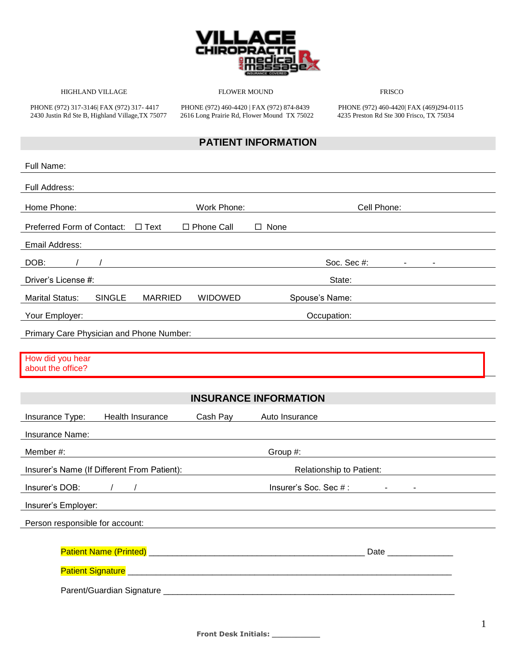

HIGHLAND VILLAGE FLOWER MOUND FRISCO

PHONE (972) 317-3146| FAX (972) 317- 4417 PHONE (972) 460-4420 | FAX (972) 874-8439 PHONE (972) 460-4420| FAX (469)294-0115 2430 Justin Rd Ste B, Highland Village,TX 75077 2616 Long Prairie Rd, Flower Mound TX 75022 4235 Preston Rd Ste 300 Frisco, TX 75034

### **PATIENT INFORMATION**

| Full Name:                                                                                                                                                                                                                          |                              |
|-------------------------------------------------------------------------------------------------------------------------------------------------------------------------------------------------------------------------------------|------------------------------|
| Full Address:                                                                                                                                                                                                                       |                              |
| Work Phone:<br>Home Phone:                                                                                                                                                                                                          | Cell Phone:                  |
| Preferred Form of Contact:<br>$\Box$ Text<br>□ Phone Call                                                                                                                                                                           | $\Box$ None                  |
| <b>Email Address:</b>                                                                                                                                                                                                               |                              |
| DOB:                                                                                                                                                                                                                                | Soc. Sec #:                  |
| Driver's License #:                                                                                                                                                                                                                 | State:                       |
| <b>Marital Status:</b><br><b>SINGLE</b><br><b>MARRIED</b><br><b>WIDOWED</b>                                                                                                                                                         | Spouse's Name:               |
| Your Employer:                                                                                                                                                                                                                      | Occupation:                  |
| Primary Care Physician and Phone Number:                                                                                                                                                                                            |                              |
| How did you hear<br>about the office?                                                                                                                                                                                               |                              |
|                                                                                                                                                                                                                                     | <b>INSURANCE INFORMATION</b> |
| Health Insurance<br>Insurance Type:<br>Cash Pay                                                                                                                                                                                     | Auto Insurance               |
| Insurance Name:                                                                                                                                                                                                                     |                              |
| Member #:                                                                                                                                                                                                                           | Group #:                     |
| Insurer's Name (If Different From Patient):                                                                                                                                                                                         | Relationship to Patient:     |
| Insurer's DOB:                                                                                                                                                                                                                      | Insurer's Soc. Sec #:        |
| Insurer's Employer:                                                                                                                                                                                                                 |                              |
| Person responsible for account:                                                                                                                                                                                                     |                              |
| Patient Signature <b>Patient Signature</b> 2001 - 2010 - 2021 - 2022 - 2022 - 2022 - 2022 - 2022 - 2022 - 2022 - 2022 - 2022 - 2022 - 2022 - 2022 - 2022 - 2022 - 2022 - 2022 - 2022 - 2022 - 2022 - 2022 - 2022 - 2022 - 2022 - 20 |                              |
|                                                                                                                                                                                                                                     |                              |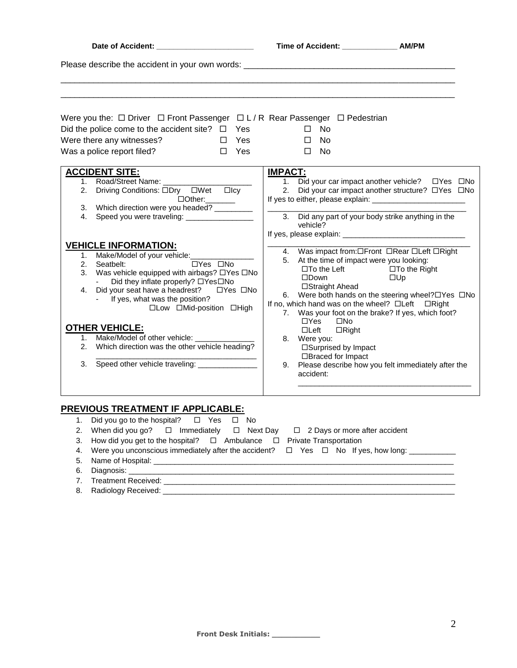| Date of Accident: ________________________                                                                                                                                                                                                                                                                            | Time of Accident: ________________ AM/PM                                                                                                                                                                                                                                                                |                                                                                                                    |
|-----------------------------------------------------------------------------------------------------------------------------------------------------------------------------------------------------------------------------------------------------------------------------------------------------------------------|---------------------------------------------------------------------------------------------------------------------------------------------------------------------------------------------------------------------------------------------------------------------------------------------------------|--------------------------------------------------------------------------------------------------------------------|
| Please describe the accident in your own words: _________________________________                                                                                                                                                                                                                                     |                                                                                                                                                                                                                                                                                                         |                                                                                                                    |
| Were you the: □ Driver □ Front Passenger □ L / R Rear Passenger □ Pedestrian<br>Did the police come to the accident site? $\Box$ Yes<br>Were there any witnesses?<br>$\square$ Yes<br>$\square$ Yes<br>Was a police report filed?                                                                                     | $\square$ No<br>□ No<br>$\square$ No                                                                                                                                                                                                                                                                    |                                                                                                                    |
| <b>ACCIDENT SITE:</b><br>Road/Street Name: __________<br>1.<br>Driving Conditions: □Dry □Wet □Icy<br>2.<br>□Other:_______<br>3. Which direction were you headed? _________<br>Speed you were traveling: __________________<br>4.                                                                                      | <b>IMPACT:</b><br>3. Did any part of your body strike anything in the<br>vehicle?                                                                                                                                                                                                                       | 2. Did your car impact another structure? DYes DNo                                                                 |
| <b>VEHICLE INFORMATION:</b><br>1. Make/Model of your vehicle:<br>an an t-San Albanya.<br>Tanah tanah tan<br>□Yes □No<br>2. Seatbelt:<br>3. Was vehicle equipped with airbags? □Yes □No<br>Did they inflate properly? □Yes□No<br>- If yes, what was the position?<br>□Low □Mid-position □High<br><b>OTHER VEHICLE:</b> | 5. At the time of impact were you looking:<br>$\square$ To the Left $\square$ To the Right<br>$\square$ Down<br>□Straight Ahead<br>If no, which hand was on the wheel? □Left □Right<br>7. Was your foot on the brake? If yes, which foot?<br>$\Box Y$ es<br>$\square$ No<br>$\Box$ Left<br>$\Box$ Right | 4. Was impact from: OFront ORear OLeft ORight<br>$\square$ Up<br>6. Were both hands on the steering wheel?□Yes □No |
| 1. Make/Model of other vehicle: ________<br>2. Which direction was the other vehicle heading?                                                                                                                                                                                                                         | 8. Were you:<br>□Surprised by Impact<br>□Braced for Impact                                                                                                                                                                                                                                              |                                                                                                                    |
| Speed other vehicle traveling: ______________<br>3.                                                                                                                                                                                                                                                                   | accident:                                                                                                                                                                                                                                                                                               | 9. Please describe how you felt immediately after the                                                              |
| PREVIOUS TREATMENT IF APPLICABLE:<br>1. Did you go to the hospital? □ Yes □ No<br>2. When did you go? $\Box$ Immediately $\Box$ Next Day $\Box$ 2 Days or more after accident                                                                                                                                         |                                                                                                                                                                                                                                                                                                         |                                                                                                                    |

| 2. When did you go? $\Box$ Immediately $\Box$ Next Day $\Box$ 2 Days or more after accident             |
|---------------------------------------------------------------------------------------------------------|
| 3. How did you get to the hospital? $\Box$ Ambulance $\Box$ Private Transportation                      |
| 4. Were you unconscious immediately after the accident? $\Box$ Yes $\Box$ No If yes, how long: ________ |
| 5. Name of Hospital: __________________________                                                         |
| 6. Diagnosis: __________________________                                                                |
| 7. Treatment Received:                                                                                  |

8. Radiology Received: \_\_\_\_\_\_\_\_\_\_\_\_\_\_\_\_\_\_\_\_\_\_\_\_\_\_\_\_\_\_\_\_\_\_\_\_\_\_\_\_\_\_\_\_\_\_\_\_\_\_\_\_\_\_\_\_\_\_\_\_\_\_\_\_\_\_\_\_\_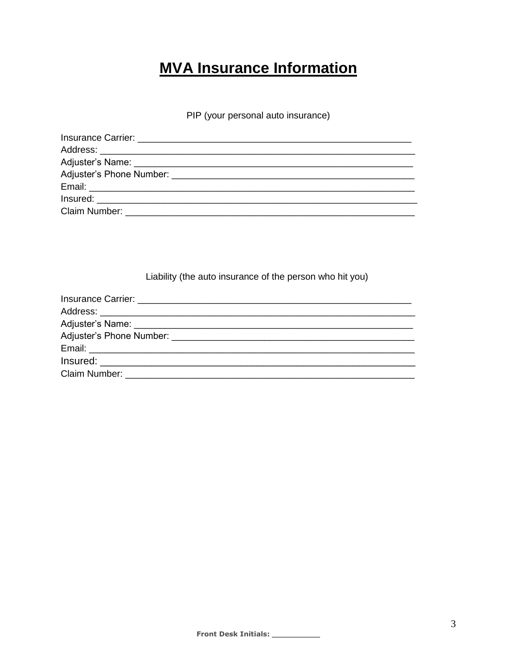# **MVA Insurance Information**

PIP (your personal auto insurance)

| Claim Number: University of the University of the University of the University of the University of the University of the University of the University of the University of the University of the University of the University |
|--------------------------------------------------------------------------------------------------------------------------------------------------------------------------------------------------------------------------------|

Liability (the auto insurance of the person who hit you)

| Claim Number: The Claim Number of the Claim Number of the Claim Number of the Claim Number of the Claim Number |
|----------------------------------------------------------------------------------------------------------------|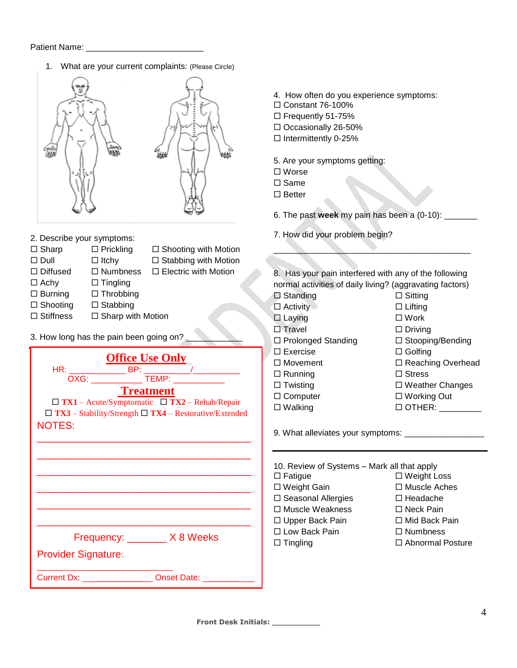1. What are your current complaints: (Please Circle)



- 2. Describe your symptoms:
- $\square$  Sharp  $\square$  Prickling  $\square$  Shooting with Motion
- 
- $\square$  Dull  $\square$  Itchy  $\square$  Stabbing with Motion
- $\Box$  Diffused  $\Box$  Numbness  $\Box$  Electric with Motion
	-
- $\Box$  Achy  $\Box$  Tingling  $\square$  Burning  $\square$  Throbbing
- 
- $\square$  Shooting  $\square$  Stabbing
- $\Box$  Stiffness  $\Box$  Sharp with Motion
- 3. How long has the pain been going on?

| <b>Office Use Only</b>                                            |
|-------------------------------------------------------------------|
| OXG: _______________ TEMP: ____________<br><b>Treatment</b>       |
| $\Box$ TX1 – Acute/Symptomatic $\Box$ TX2 – Rehab/Repair          |
| $\Box$ TX3 – Stability/Strength $\Box$ TX4 – Restorative/Extended |
| <b>NOTES:</b>                                                     |
|                                                                   |
|                                                                   |
|                                                                   |
|                                                                   |
|                                                                   |
|                                                                   |
|                                                                   |
| Frequency: X8 Weeks                                               |
|                                                                   |
| <b>Provider Signature:</b>                                        |
| <b>Current Dx:</b> Current Dx: Current Dx: Current Dx:            |

- 4. How often do you experience symptoms:
- $\Box$  Constant 76-100%
- □ Frequently 51-75%
- Occasionally 26-50%
- $\square$  Intermittently 0-25%
- 5. Are your symptoms getting:
- Worse
- $\Box$  Same
- $\square$  Better

6. The past **week** my pain has been a (0-10): \_\_\_\_\_\_\_

7. How did your problem begin?

8. Has your pain interfered with any of the following normal activities of daily living? (aggravating factors)

 $\overline{\phantom{a}}$  ,  $\overline{\phantom{a}}$  ,  $\overline{\phantom{a}}$  ,  $\overline{\phantom{a}}$  ,  $\overline{\phantom{a}}$  ,  $\overline{\phantom{a}}$  ,  $\overline{\phantom{a}}$  ,  $\overline{\phantom{a}}$  ,  $\overline{\phantom{a}}$  ,  $\overline{\phantom{a}}$  ,  $\overline{\phantom{a}}$  ,  $\overline{\phantom{a}}$  ,  $\overline{\phantom{a}}$  ,  $\overline{\phantom{a}}$  ,  $\overline{\phantom{a}}$  ,  $\overline{\phantom{a}}$ 

| $\Box$ Standing           | $\Box$ Sitting           |
|---------------------------|--------------------------|
| $\Box$ Activity           | $\Box$ Lifting           |
| $\Box$ Laying             | $\square$ Work           |
| $\Box$ Travel             | $\Box$ Driving           |
| $\Box$ Prolonged Standing | $\Box$ Stooping/Bending  |
| $\Box$ Exercise           | $\Box$ Golfing           |
| $\Box$ Movement           | $\Box$ Reaching Overhead |
| $\Box$ Running            | $\Box$ Stress            |
| $\Box$ Twisting           | $\Box$ Weather Changes   |
| $\Box$ Computer           | $\Box$ Working Out       |
| $\Box$ Walking            | $\Box$ OTHER:            |
|                           |                          |

9. What alleviates your symptoms: \_\_\_\_\_\_\_\_\_\_\_\_\_\_\_\_\_

| 10. Review of Systems - Mark all that apply |                         |
|---------------------------------------------|-------------------------|
| $\Box$ Fatigue                              | □ Weight Loss           |
| □ Weight Gain                               | $\Box$ Muscle Aches     |
| $\square$ Seasonal Allergies                | □ Headache              |
| $\Box$ Muscle Weakness                      | $\Box$ Neck Pain        |
| □ Upper Back Pain                           | □ Mid Back Pain         |
| □ Low Back Pain                             | $\Box$ Numbness         |
| $\Box$ Tingling                             | $\Box$ Abnormal Posture |
|                                             |                         |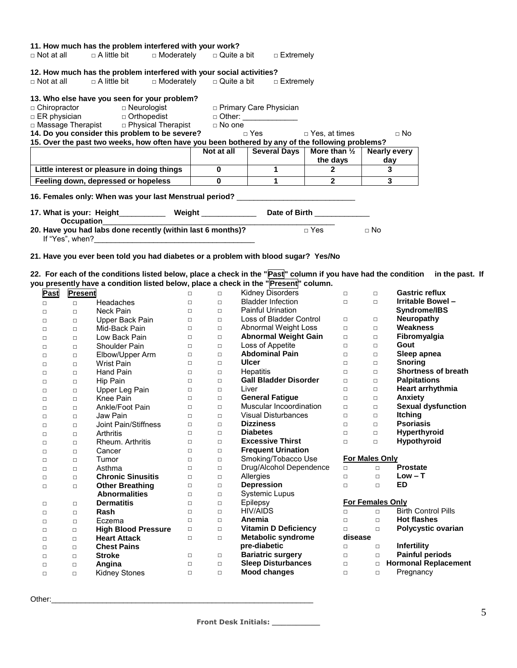| 11. How much has the problem interfered with your work?                                         |              |                                                                              |                                    |                         |
|-------------------------------------------------------------------------------------------------|--------------|------------------------------------------------------------------------------|------------------------------------|-------------------------|
| $\Box$ Not at all $\Box$ A little bit $\Box$ Moderately $\Box$ Quite a bit $\Box$ Extremely     |              |                                                                              |                                    |                         |
| 12. How much has the problem interfered with your social activities?                            |              |                                                                              |                                    |                         |
| $\Box$ Not at all $\Box$ A little bit $\Box$ Moderately $\Box$ Quite a bit $\Box$ Extremely     |              |                                                                              |                                    |                         |
| 13. Who else have you seen for your problem?                                                    |              |                                                                              |                                    |                         |
|                                                                                                 |              |                                                                              |                                    |                         |
|                                                                                                 |              |                                                                              |                                    |                         |
|                                                                                                 |              |                                                                              |                                    |                         |
| 14. Do you consider this problem to be severe?                                                  |              | □ Yes des, at times des des No                                               |                                    |                         |
| 15. Over the past two weeks, how often have you been bothered by any of the following problems? |              |                                                                              |                                    |                         |
|                                                                                                 |              | Not at all $\vert$ Several Days $\vert$ More than $\frac{1}{2}$ Nearly every |                                    |                         |
|                                                                                                 |              |                                                                              | the days                           | day                     |
| Little interest or pleasure in doing things                                                     | $\bf{0}$     | $\mathbf 1$                                                                  | $\begin{array}{ccc} \end{array}$ 2 | 3                       |
|                                                                                                 |              | $\mathbf 1$                                                                  | $\overline{2}$                     | $\overline{\mathbf{3}}$ |
| Feeling down, depressed or hopeless                                                             | $\mathbf{0}$ |                                                                              |                                    |                         |
| 16. Females only: When was your last Menstrual period? _________________________                |              |                                                                              |                                    |                         |
| 17. What is your: Height_____________ Weight _______________ Date of Birth ____________         |              |                                                                              |                                    |                         |
|                                                                                                 |              |                                                                              |                                    |                         |
| $\text{Circight}$<br>20. Have you had labs done recently (within last 6 months)?                |              |                                                                              |                                    | $\Box$ No               |

**22. For each of the conditions listed below, place a check in the "Past" column if you have had the condition in the past. If** 

|        |         |                            |        |        | you presently have a condition listed below, place a check in the " Present " column. |         |                         |                             |
|--------|---------|----------------------------|--------|--------|---------------------------------------------------------------------------------------|---------|-------------------------|-----------------------------|
| Past   | Present |                            | $\Box$ | $\Box$ | <b>Kidney Disorders</b>                                                               | $\Box$  | $\Box$                  | <b>Gastric reflux</b>       |
| $\Box$ | $\Box$  | Headaches                  | П      | $\Box$ | <b>Bladder Infection</b>                                                              | $\Box$  | $\Box$                  | Irritable Bowel-            |
| $\Box$ | $\Box$  | <b>Neck Pain</b>           | $\Box$ | $\Box$ | <b>Painful Urination</b>                                                              |         |                         | Syndrome/IBS                |
| $\Box$ | $\Box$  | Upper Back Pain            | $\Box$ | $\Box$ | Loss of Bladder Control                                                               | $\Box$  | $\Box$                  | <b>Neuropathy</b>           |
| $\Box$ | $\Box$  | Mid-Back Pain              | $\Box$ | $\Box$ | Abnormal Weight Loss                                                                  | $\Box$  | $\Box$                  | <b>Weakness</b>             |
| $\Box$ | $\Box$  | Low Back Pain              | $\Box$ | $\Box$ | <b>Abnormal Weight Gain</b>                                                           | $\Box$  | $\Box$                  | Fibromyalgia                |
| $\Box$ | $\Box$  | <b>Shoulder Pain</b>       | $\Box$ | $\Box$ | Loss of Appetite                                                                      | $\Box$  | $\Box$                  | Gout                        |
| $\Box$ | $\Box$  | Elbow/Upper Arm            | $\Box$ | $\Box$ | <b>Abdominal Pain</b>                                                                 | $\Box$  | $\Box$                  | Sleep apnea                 |
| $\Box$ | $\Box$  | <b>Wrist Pain</b>          | $\Box$ | $\Box$ | Ulcer                                                                                 | $\Box$  | $\Box$                  | <b>Snoring</b>              |
| $\Box$ | $\Box$  | <b>Hand Pain</b>           | $\Box$ | $\Box$ | Hepatitis                                                                             | $\Box$  | $\Box$                  | <b>Shortness of breath</b>  |
| $\Box$ | $\Box$  | <b>Hip Pain</b>            | $\Box$ | $\Box$ | <b>Gall Bladder Disorder</b>                                                          | $\Box$  | $\Box$                  | <b>Palpitations</b>         |
| $\Box$ | $\Box$  | Upper Leg Pain             | $\Box$ | $\Box$ | Liver                                                                                 | $\Box$  | $\Box$                  | Heart arrhythmia            |
| $\Box$ | $\Box$  | Knee Pain                  | $\Box$ | $\Box$ | <b>General Fatique</b>                                                                | $\Box$  | $\Box$                  | Anxiety                     |
| $\Box$ | $\Box$  | Ankle/Foot Pain            | $\Box$ | $\Box$ | Muscular Incoordination                                                               | $\Box$  | $\Box$                  | <b>Sexual dysfunction</b>   |
| □      | $\Box$  | Jaw Pain                   | $\Box$ | $\Box$ | <b>Visual Disturbances</b>                                                            | $\Box$  | $\Box$                  | <b>Itching</b>              |
| $\Box$ | $\Box$  | Joint Pain/Stiffness       | $\Box$ | $\Box$ | <b>Dizziness</b>                                                                      | $\Box$  | $\Box$                  | <b>Psoriasis</b>            |
| $\Box$ | $\Box$  | Arthritis                  | $\Box$ | $\Box$ | <b>Diabetes</b>                                                                       | $\Box$  | $\Box$                  | Hyperthyroid                |
| $\Box$ | $\Box$  | Rheum. Arthritis           | $\Box$ | $\Box$ | <b>Excessive Thirst</b>                                                               | $\Box$  | $\Box$                  | <b>Hypothyroid</b>          |
| $\Box$ | $\Box$  | Cancer                     | $\Box$ | $\Box$ | <b>Frequent Urination</b>                                                             |         |                         |                             |
| $\Box$ | $\Box$  | Tumor                      | $\Box$ | $\Box$ | Smoking/Tobacco Use                                                                   |         | <b>For Males Only</b>   |                             |
| $\Box$ | $\Box$  | Asthma                     | $\Box$ | $\Box$ | Drug/Alcohol Dependence                                                               | $\Box$  | $\Box$                  | <b>Prostate</b>             |
| $\Box$ | $\Box$  | <b>Chronic Sinusitis</b>   | $\Box$ | $\Box$ | Allergies                                                                             | $\Box$  | $\Box$                  | $Low - T$                   |
| $\Box$ | $\Box$  | <b>Other Breathing</b>     | $\Box$ | $\Box$ | <b>Depression</b>                                                                     | $\Box$  | $\Box$                  | <b>ED</b>                   |
|        |         | <b>Abnormalities</b>       | $\Box$ | $\Box$ | <b>Systemic Lupus</b>                                                                 |         |                         |                             |
| $\Box$ | $\Box$  | <b>Dermatitis</b>          | $\Box$ | $\Box$ | Epilepsy                                                                              |         | <b>For Females Only</b> |                             |
| $\Box$ | $\Box$  | Rash                       | $\Box$ | $\Box$ | <b>HIV/AIDS</b>                                                                       | $\Box$  | $\Box$                  | <b>Birth Control Pills</b>  |
| $\Box$ | $\Box$  | Eczema                     | $\Box$ | $\Box$ | Anemia                                                                                | $\Box$  | $\Box$                  | <b>Hot flashes</b>          |
| □      | $\Box$  | <b>High Blood Pressure</b> | $\Box$ | $\Box$ | <b>Vitamin D Deficiency</b>                                                           | $\Box$  | $\Box$                  | Polycystic ovarian          |
| $\Box$ | $\Box$  | <b>Heart Attack</b>        | $\Box$ | $\Box$ | <b>Metabolic syndrome</b>                                                             | disease |                         |                             |
| $\Box$ | $\Box$  | <b>Chest Pains</b>         |        |        | pre-diabetic                                                                          | $\Box$  | $\Box$                  | <b>Infertility</b>          |
| □      | $\Box$  | <b>Stroke</b>              | $\Box$ | $\Box$ | <b>Bariatric surgery</b>                                                              | $\Box$  | $\Box$                  | <b>Painful periods</b>      |
| $\Box$ | $\Box$  | Angina                     | □      | $\Box$ | <b>Sleep Disturbances</b>                                                             | $\Box$  | $\Box$                  | <b>Hormonal Replacement</b> |
| $\Box$ | $\Box$  | Kidney Stones              | $\Box$ | $\Box$ | <b>Mood changes</b>                                                                   | $\Box$  | $\Box$                  | Pregnancy                   |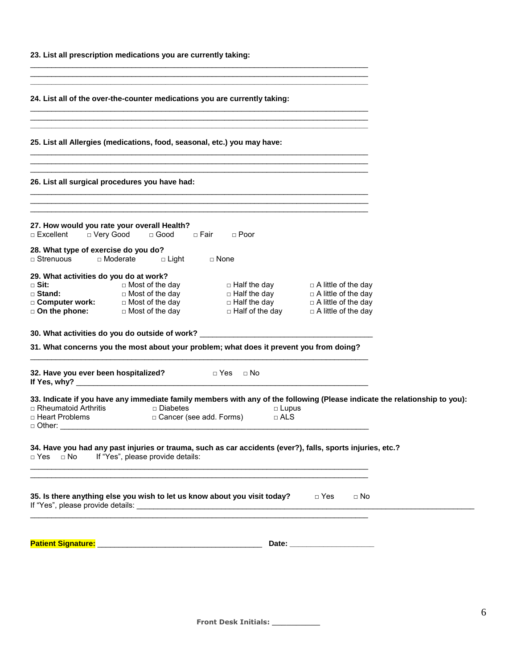|  |  | 23. List all prescription medications you are currently taking: |  |  |  |
|--|--|-----------------------------------------------------------------|--|--|--|
|--|--|-----------------------------------------------------------------|--|--|--|

**24. List all of the over-the-counter medications you are currently taking:**

**25. List all Allergies (medications, food, seasonal, etc.) you may have:**

**26. List all surgical procedures you have had:**

| 27. How would you rate your overall Health?<br>$\Box$ Excellent | □ Very Good     | $\Box$ Good            | □ Fair      | $\Box$ Poor            |                            |
|-----------------------------------------------------------------|-----------------|------------------------|-------------|------------------------|----------------------------|
| 28. What type of exercise do you do?<br>$\Box$ Strenuous        | $\Box$ Moderate | $\Box$ Light           | $\Box$ None |                        |                            |
| 29. What activities do you do at work?                          |                 |                        |             |                        |                            |
| □ Sit:                                                          |                 | $\Box$ Most of the day |             | $\Box$ Half the day    | $\Box$ A little of the day |
| $\Box$ Stand:                                                   |                 | $\Box$ Most of the day |             | $\Box$ Half the day    | $\Box$ A little of the day |
| □ Computer work:                                                |                 | $\Box$ Most of the day |             | $\Box$ Half the day    | $\Box$ A little of the day |
| $\Box$ On the phone:                                            |                 | $\Box$ Most of the day |             | $\Box$ Half of the day | $\Box$ A little of the day |

\_\_\_\_\_\_\_\_\_\_\_\_\_\_\_\_\_\_\_\_\_\_\_\_\_\_\_\_\_\_\_\_\_\_\_\_\_\_\_\_\_\_\_\_\_\_\_\_\_\_\_\_\_\_\_\_\_\_\_\_\_\_\_\_\_\_\_\_\_\_\_\_\_\_\_\_\_\_\_\_ \_\_\_\_\_\_\_\_\_\_\_\_\_\_\_\_\_\_\_\_\_\_\_\_\_\_\_\_\_\_\_\_\_\_\_\_\_\_\_\_\_\_\_\_\_\_\_\_\_\_\_\_\_\_\_\_\_\_\_\_\_\_\_\_\_\_\_\_\_\_\_\_\_\_\_\_\_\_\_\_ **\_\_\_\_\_\_\_\_\_\_\_\_\_\_\_\_\_\_\_\_\_\_\_\_\_\_\_\_\_\_\_\_\_\_\_\_\_\_\_\_\_\_\_\_\_\_\_\_\_\_\_\_\_\_\_\_\_\_\_\_\_\_\_\_\_\_\_\_\_\_\_\_\_\_\_\_\_\_\_\_**

\_\_\_\_\_\_\_\_\_\_\_\_\_\_\_\_\_\_\_\_\_\_\_\_\_\_\_\_\_\_\_\_\_\_\_\_\_\_\_\_\_\_\_\_\_\_\_\_\_\_\_\_\_\_\_\_\_\_\_\_\_\_\_\_\_\_\_\_\_\_\_\_\_\_\_\_\_\_\_\_ \_\_\_\_\_\_\_\_\_\_\_\_\_\_\_\_\_\_\_\_\_\_\_\_\_\_\_\_\_\_\_\_\_\_\_\_\_\_\_\_\_\_\_\_\_\_\_\_\_\_\_\_\_\_\_\_\_\_\_\_\_\_\_\_\_\_\_\_\_\_\_\_\_\_\_\_\_\_\_\_ **\_\_\_\_\_\_\_\_\_\_\_\_\_\_\_\_\_\_\_\_\_\_\_\_\_\_\_\_\_\_\_\_\_\_\_\_\_\_\_\_\_\_\_\_\_\_\_\_\_\_\_\_\_\_\_\_\_\_\_\_\_\_\_\_\_\_\_\_\_\_\_\_\_\_\_\_\_\_\_\_**

\_\_\_\_\_\_\_\_\_\_\_\_\_\_\_\_\_\_\_\_\_\_\_\_\_\_\_\_\_\_\_\_\_\_\_\_\_\_\_\_\_\_\_\_\_\_\_\_\_\_\_\_\_\_\_\_\_\_\_\_\_\_\_\_\_\_\_\_\_\_\_\_\_\_\_\_\_\_\_\_ \_\_\_\_\_\_\_\_\_\_\_\_\_\_\_\_\_\_\_\_\_\_\_\_\_\_\_\_\_\_\_\_\_\_\_\_\_\_\_\_\_\_\_\_\_\_\_\_\_\_\_\_\_\_\_\_\_\_\_\_\_\_\_\_\_\_\_\_\_\_\_\_\_\_\_\_\_\_\_\_  $\mathcal{L}_\text{max} = \mathcal{L}_\text{max} = \mathcal{L}_\text{max} = \mathcal{L}_\text{max} = \mathcal{L}_\text{max} = \mathcal{L}_\text{max} = \mathcal{L}_\text{max} = \mathcal{L}_\text{max} = \mathcal{L}_\text{max} = \mathcal{L}_\text{max} = \mathcal{L}_\text{max} = \mathcal{L}_\text{max} = \mathcal{L}_\text{max} = \mathcal{L}_\text{max} = \mathcal{L}_\text{max} = \mathcal{L}_\text{max} = \mathcal{L}_\text{max} = \mathcal{L}_\text{max} = \mathcal{$ 

\_\_\_\_\_\_\_\_\_\_\_\_\_\_\_\_\_\_\_\_\_\_\_\_\_\_\_\_\_\_\_\_\_\_\_\_\_\_\_\_\_\_\_\_\_\_\_\_\_\_\_\_\_\_\_\_\_\_\_\_\_\_\_\_\_\_\_\_\_\_\_\_\_\_\_\_\_\_\_\_ \_\_\_\_\_\_\_\_\_\_\_\_\_\_\_\_\_\_\_\_\_\_\_\_\_\_\_\_\_\_\_\_\_\_\_\_\_\_\_\_\_\_\_\_\_\_\_\_\_\_\_\_\_\_\_\_\_\_\_\_\_\_\_\_\_\_\_\_\_\_\_\_\_\_\_\_\_\_\_\_ \_\_\_\_\_\_\_\_\_\_\_\_\_\_\_\_\_\_\_\_\_\_\_\_\_\_\_\_\_\_\_\_\_\_\_\_\_\_\_\_\_\_\_\_\_\_\_\_\_\_\_\_\_\_\_\_\_\_\_\_\_\_\_\_\_\_\_\_\_\_\_\_\_\_\_\_\_\_\_\_

**30. What activities do you do outside of work?** \_\_\_\_\_\_\_\_\_\_\_\_\_\_\_\_\_\_\_\_\_\_\_\_\_\_\_\_\_\_\_\_\_\_\_\_\_\_\_\_\_

**31. What concerns you the most about your problem; what does it prevent you from doing?** \_\_\_\_\_\_\_\_\_\_\_\_\_\_\_\_\_\_\_\_\_\_\_\_\_\_\_\_\_\_\_\_\_\_\_\_\_\_\_\_\_\_\_\_\_\_\_\_\_\_\_\_\_\_\_\_\_\_\_\_\_\_\_\_\_\_\_\_\_\_\_\_\_\_\_\_\_\_\_\_

| 32. Have you ever been hospitalized?                   | n Yes n No<br>If Yes, why?                                                                                                                                                         |                              |           |  |
|--------------------------------------------------------|------------------------------------------------------------------------------------------------------------------------------------------------------------------------------------|------------------------------|-----------|--|
| $\Box$ Rheumatoid Arthritis<br>□ Heart Problems        | 33. Indicate if you have any immediate family members with any of the following (Please indicate the relationship to you):<br>$\Box$ Diabetes<br>$\square$ Cancer (see add. Forms) | $\Box$ Lupus<br>$\sqcap$ ALS |           |  |
| $\Box$ Yes $\Box$ No If "Yes", please provide details: | 34. Have you had any past injuries or trauma, such as car accidents (ever?), falls, sports injuries, etc.?                                                                         |                              |           |  |
| If "Yes", please provide details:                      | 35. Is there anything else you wish to let us know about you visit today?                                                                                                          | $\sqcap$ Yes                 | $\Box$ No |  |
|                                                        |                                                                                                                                                                                    |                              |           |  |

| <b>Patient S</b><br>- 11 |  |
|--------------------------|--|
|                          |  |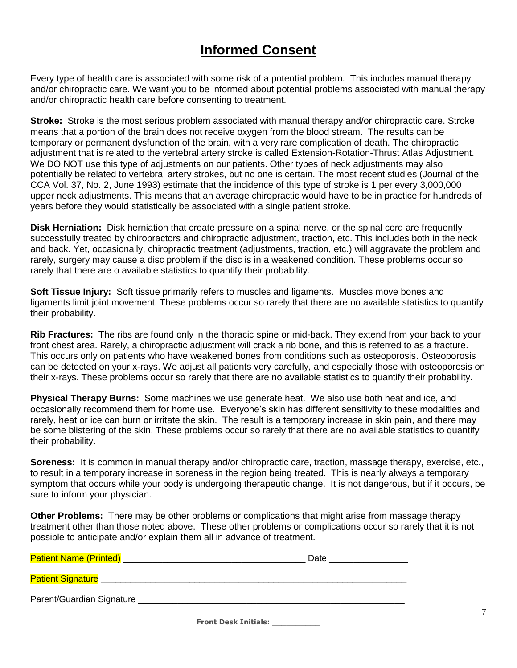### **Informed Consent**

Every type of health care is associated with some risk of a potential problem. This includes manual therapy and/or chiropractic care. We want you to be informed about potential problems associated with manual therapy and/or chiropractic health care before consenting to treatment.

**Stroke:** Stroke is the most serious problem associated with manual therapy and/or chiropractic care. Stroke means that a portion of the brain does not receive oxygen from the blood stream. The results can be temporary or permanent dysfunction of the brain, with a very rare complication of death. The chiropractic adjustment that is related to the vertebral artery stroke is called Extension-Rotation-Thrust Atlas Adjustment. We DO NOT use this type of adjustments on our patients. Other types of neck adjustments may also potentially be related to vertebral artery strokes, but no one is certain. The most recent studies (Journal of the CCA Vol. 37, No. 2, June 1993) estimate that the incidence of this type of stroke is 1 per every 3,000,000 upper neck adjustments. This means that an average chiropractic would have to be in practice for hundreds of years before they would statistically be associated with a single patient stroke.

**Disk Herniation:** Disk herniation that create pressure on a spinal nerve, or the spinal cord are frequently successfully treated by chiropractors and chiropractic adjustment, traction, etc. This includes both in the neck and back. Yet, occasionally, chiropractic treatment (adjustments, traction, etc.) will aggravate the problem and rarely, surgery may cause a disc problem if the disc is in a weakened condition. These problems occur so rarely that there are o available statistics to quantify their probability.

**Soft Tissue Injury:** Soft tissue primarily refers to muscles and ligaments. Muscles move bones and ligaments limit joint movement. These problems occur so rarely that there are no available statistics to quantify their probability.

**Rib Fractures:** The ribs are found only in the thoracic spine or mid-back. They extend from your back to your front chest area. Rarely, a chiropractic adjustment will crack a rib bone, and this is referred to as a fracture. This occurs only on patients who have weakened bones from conditions such as osteoporosis. Osteoporosis can be detected on your x-rays. We adjust all patients very carefully, and especially those with osteoporosis on their x-rays. These problems occur so rarely that there are no available statistics to quantify their probability.

**Physical Therapy Burns:** Some machines we use generate heat. We also use both heat and ice, and occasionally recommend them for home use. Everyone's skin has different sensitivity to these modalities and rarely, heat or ice can burn or irritate the skin. The result is a temporary increase in skin pain, and there may be some blistering of the skin. These problems occur so rarely that there are no available statistics to quantify their probability.

**Soreness:** It is common in manual therapy and/or chiropractic care, traction, massage therapy, exercise, etc., to result in a temporary increase in soreness in the region being treated. This is nearly always a temporary symptom that occurs while your body is undergoing therapeutic change. It is not dangerous, but if it occurs, be sure to inform your physician.

**Other Problems:** There may be other problems or complications that might arise from massage therapy treatment other than those noted above. These other problems or complications occur so rarely that it is not possible to anticipate and/or explain them all in advance of treatment.

| <b>Patient Name (Printed)</b>        | Date |
|--------------------------------------|------|
| Patient Signature __________________ |      |
| Parent/Guardian Signature            |      |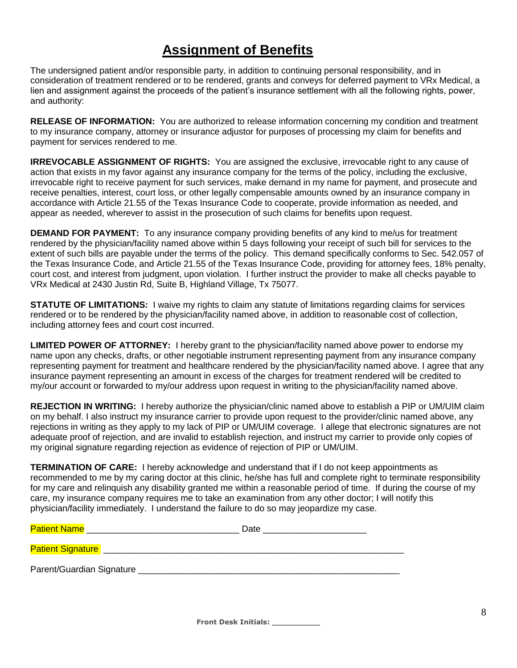### **Assignment of Benefits**

The undersigned patient and/or responsible party, in addition to continuing personal responsibility, and in consideration of treatment rendered or to be rendered, grants and conveys for deferred payment to VRx Medical, a lien and assignment against the proceeds of the patient's insurance settlement with all the following rights, power, and authority:

**RELEASE OF INFORMATION:** You are authorized to release information concerning my condition and treatment to my insurance company, attorney or insurance adjustor for purposes of processing my claim for benefits and payment for services rendered to me.

**IRREVOCABLE ASSIGNMENT OF RIGHTS:** You are assigned the exclusive, irrevocable right to any cause of action that exists in my favor against any insurance company for the terms of the policy, including the exclusive, irrevocable right to receive payment for such services, make demand in my name for payment, and prosecute and receive penalties, interest, court loss, or other legally compensable amounts owned by an insurance company in accordance with Article 21.55 of the Texas Insurance Code to cooperate, provide information as needed, and appear as needed, wherever to assist in the prosecution of such claims for benefits upon request.

**DEMAND FOR PAYMENT:** To any insurance company providing benefits of any kind to me/us for treatment rendered by the physician/facility named above within 5 days following your receipt of such bill for services to the extent of such bills are payable under the terms of the policy. This demand specifically conforms to Sec. 542.057 of the Texas Insurance Code, and Article 21.55 of the Texas Insurance Code, providing for attorney fees, 18% penalty, court cost, and interest from judgment, upon violation. I further instruct the provider to make all checks payable to VRx Medical at 2430 Justin Rd, Suite B, Highland Village, Tx 75077.

**STATUTE OF LIMITATIONS:** I waive my rights to claim any statute of limitations regarding claims for services rendered or to be rendered by the physician/facility named above, in addition to reasonable cost of collection, including attorney fees and court cost incurred.

**LIMITED POWER OF ATTORNEY:** I hereby grant to the physician/facility named above power to endorse my name upon any checks, drafts, or other negotiable instrument representing payment from any insurance company representing payment for treatment and healthcare rendered by the physician/facility named above. I agree that any insurance payment representing an amount in excess of the charges for treatment rendered will be credited to my/our account or forwarded to my/our address upon request in writing to the physician/facility named above.

**REJECTION IN WRITING:** I hereby authorize the physician/clinic named above to establish a PIP or UM/UIM claim on my behalf. I also instruct my insurance carrier to provide upon request to the provider/clinic named above, any rejections in writing as they apply to my lack of PIP or UM/UIM coverage. I allege that electronic signatures are not adequate proof of rejection, and are invalid to establish rejection, and instruct my carrier to provide only copies of my original signature regarding rejection as evidence of rejection of PIP or UM/UIM.

**TERMINATION OF CARE:** I hereby acknowledge and understand that if I do not keep appointments as recommended to me by my caring doctor at this clinic, he/she has full and complete right to terminate responsibility for my care and relinquish any disability granted me within a reasonable period of time. If during the course of my care, my insurance company requires me to take an examination from any other doctor; I will notify this physician/facility immediately. I understand the failure to do so may jeopardize my case.

| <b>Patient Name</b>       | Date |
|---------------------------|------|
| <b>Patient Signature</b>  |      |
| Parent/Guardian Signature |      |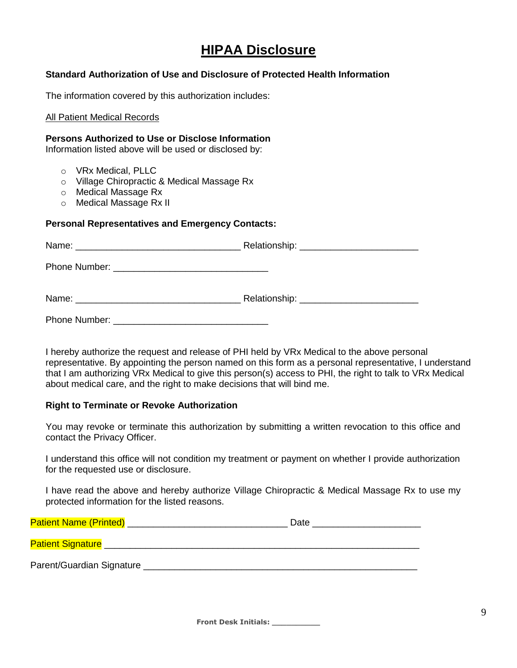### **HIPAA Disclosure**

#### **Standard Authorization of Use and Disclosure of Protected Health Information**

The information covered by this authorization includes:

#### All Patient Medical Records

#### **Persons Authorized to Use or Disclose Information**

Information listed above will be used or disclosed by:

- o VRx Medical, PLLC
- o Village Chiropractic & Medical Massage Rx
- o Medical Massage Rx
- o Medical Massage Rx II

#### **Personal Representatives and Emergency Contacts:**

| Relationship: ____________________________ |
|--------------------------------------------|
|                                            |
|                                            |
|                                            |

I hereby authorize the request and release of PHI held by VRx Medical to the above personal representative. By appointing the person named on this form as a personal representative, I understand that I am authorizing VRx Medical to give this person(s) access to PHI, the right to talk to VRx Medical about medical care, and the right to make decisions that will bind me.

#### **Right to Terminate or Revoke Authorization**

 You may revoke or terminate this authorization by submitting a written revocation to this office and contact the Privacy Officer.

I understand this office will not condition my treatment or payment on whether I provide authorization for the requested use or disclosure.

I have read the above and hereby authorize Village Chiropractic & Medical Massage Rx to use my protected information for the listed reasons.

| <b>Patient Name (Printed)</b> | Date |
|-------------------------------|------|
| <b>Patient Signature</b>      |      |
| Parent/Guardian Signature     |      |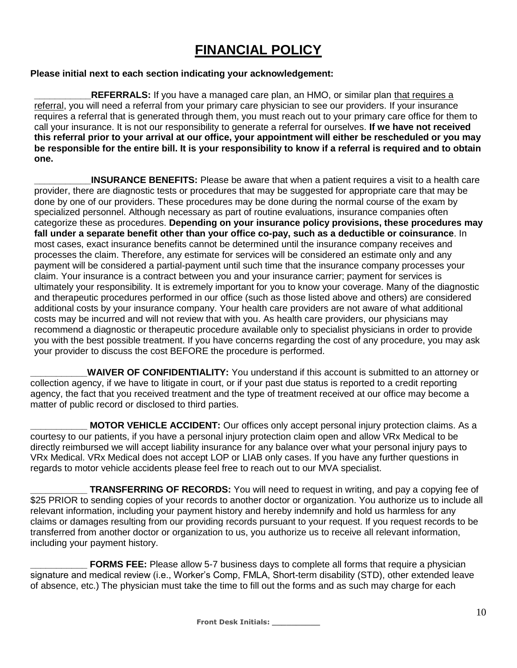## **FINANCIAL POLICY**

#### **Please initial next to each section indicating your acknowledgement:**

**REFERRALS:** If you have a managed care plan, an HMO, or similar plan that requires a referral, you will need a referral from your primary care physician to see our providers. If your insurance requires a referral that is generated through them, you must reach out to your primary care office for them to call your insurance. It is not our responsibility to generate a referral for ourselves. **If we have not received this referral prior to your arrival at our office, your appointment will either be rescheduled or you may be responsible for the entire bill. It is your responsibility to know if a referral is required and to obtain one.**

**INSURANCE BENEFITS:** Please be aware that when a patient requires a visit to a health care provider, there are diagnostic tests or procedures that may be suggested for appropriate care that may be done by one of our providers. These procedures may be done during the normal course of the exam by specialized personnel. Although necessary as part of routine evaluations, insurance companies often categorize these as procedures. **Depending on your insurance policy provisions, these procedures may fall under a separate benefit other than your office co-pay, such as a deductible or coinsurance**. In most cases, exact insurance benefits cannot be determined until the insurance company receives and processes the claim. Therefore, any estimate for services will be considered an estimate only and any payment will be considered a partial-payment until such time that the insurance company processes your claim. Your insurance is a contract between you and your insurance carrier; payment for services is ultimately your responsibility. It is extremely important for you to know your coverage. Many of the diagnostic and therapeutic procedures performed in our office (such as those listed above and others) are considered additional costs by your insurance company. Your health care providers are not aware of what additional costs may be incurred and will not review that with you. As health care providers, our physicians may recommend a diagnostic or therapeutic procedure available only to specialist physicians in order to provide you with the best possible treatment. If you have concerns regarding the cost of any procedure, you may ask your provider to discuss the cost BEFORE the procedure is performed.

**WAIVER OF CONFIDENTIALITY:** You understand if this account is submitted to an attorney or collection agency, if we have to litigate in court, or if your past due status is reported to a credit reporting agency, the fact that you received treatment and the type of treatment received at our office may become a matter of public record or disclosed to third parties.

**MOTOR VEHICLE ACCIDENT:** Our offices only accept personal injury protection claims. As a courtesy to our patients, if you have a personal injury protection claim open and allow VRx Medical to be directly reimbursed we will accept liability insurance for any balance over what your personal injury pays to VRx Medical. VRx Medical does not accept LOP or LIAB only cases. If you have any further questions in regards to motor vehicle accidents please feel free to reach out to our MVA specialist.

**\_\_\_\_\_\_\_\_\_\_\_ TRANSFERRING OF RECORDS:** You will need to request in writing, and pay a copying fee of \$25 PRIOR to sending copies of your records to another doctor or organization. You authorize us to include all relevant information, including your payment history and hereby indemnify and hold us harmless for any claims or damages resulting from our providing records pursuant to your request. If you request records to be transferred from another doctor or organization to us, you authorize us to receive all relevant information, including your payment history.

**FORMS FEE:** Please allow 5-7 business days to complete all forms that require a physician signature and medical review (i.e., Worker's Comp, FMLA, Short-term disability (STD), other extended leave of absence, etc.) The physician must take the time to fill out the forms and as such may charge for each